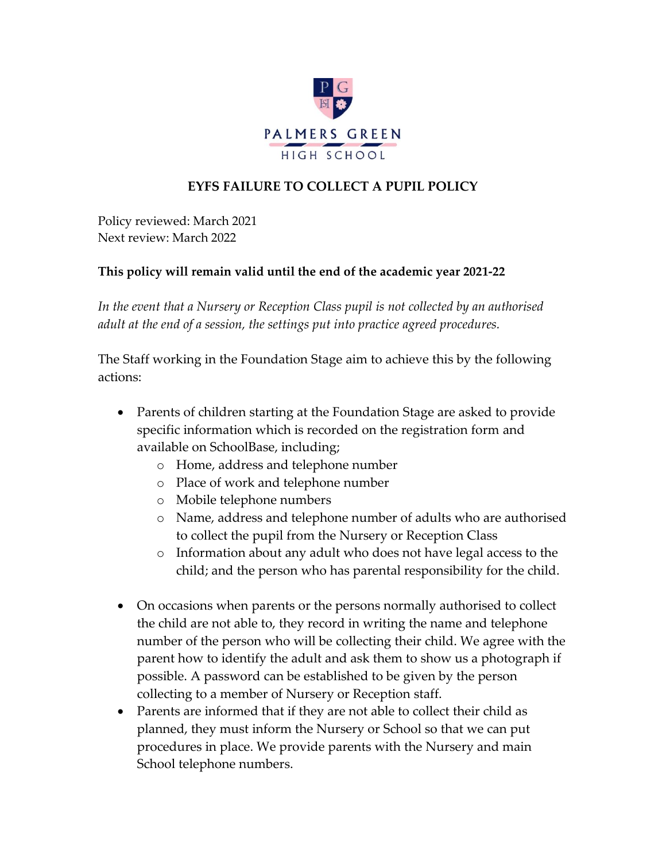

## **EYFS FAILURE TO COLLECT A PUPIL POLICY**

Policy reviewed: March 2021 Next review: March 2022

## **This policy will remain valid until the end of the academic year 2021-22**

*In the event that a Nursery or Reception Class pupil is not collected by an authorised adult at the end of a session, the settings put into practice agreed procedures.*

The Staff working in the Foundation Stage aim to achieve this by the following actions:

- Parents of children starting at the Foundation Stage are asked to provide specific information which is recorded on the registration form and available on SchoolBase, including;
	- o Home, address and telephone number
	- o Place of work and telephone number
	- o Mobile telephone numbers
	- o Name, address and telephone number of adults who are authorised to collect the pupil from the Nursery or Reception Class
	- o Information about any adult who does not have legal access to the child; and the person who has parental responsibility for the child.
- On occasions when parents or the persons normally authorised to collect the child are not able to, they record in writing the name and telephone number of the person who will be collecting their child. We agree with the parent how to identify the adult and ask them to show us a photograph if possible. A password can be established to be given by the person collecting to a member of Nursery or Reception staff.
- Parents are informed that if they are not able to collect their child as planned, they must inform the Nursery or School so that we can put procedures in place. We provide parents with the Nursery and main School telephone numbers.